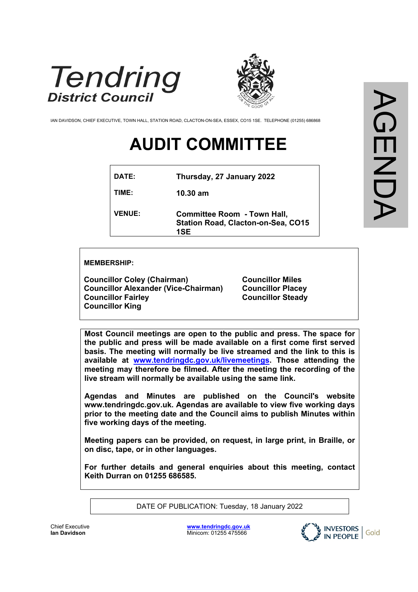



IAN DAVIDSON, CHIEF EXECUTIVE, TOWN HALL, STATION ROAD, CLACTON-ON-SEA, ESSEX, CO15 1SE. TELEPHONE (01255) 686868

# **AUDIT COMMITTEE**

| DATE:         | Thursday, 27 January 2022                                                              |
|---------------|----------------------------------------------------------------------------------------|
| TIME:         | $10.30$ am                                                                             |
| <b>VENUE:</b> | <b>Committee Room - Town Hall,</b><br><b>Station Road, Clacton-on-Sea, CO15</b><br>1SE |

#### **MEMBERSHIP:**

**Councillor Coley (Chairman) Councillor Alexander (Vice-Chairman) Councillor Fairley Councillor King**

**Councillor Miles Councillor Placey Councillor Steady**

**Most Council meetings are open to the public and press. The space for the public and press will be made available on a first come first served basis. The meeting will normally be live streamed and the link to this is available at [www.tendringdc.gov.uk/livemeetings.](http://www.tendringdc.gov.uk/livemeetings) Those attending the meeting may therefore be filmed. After the meeting the recording of the live stream will normally be available using the same link.**

**Agendas and Minutes are published on the Council's website [www.](http://www.basildon/)tendringdc.gov.uk. Agendas are available to view five working days prior to the meeting date and the Council aims to publish Minutes within five working days of the meeting.**

**Meeting papers can be provided, on request, in large print, in Braille, or on disc, tape, or in other languages.**

**For further details and general enquiries about this meeting, contact Keith Durran on 01255 686585.**

DATE OF PUBLICATION: Tuesday, 18 January 2022

**[www.tendringdc.gov.uk](http://www.tendringdc.gov.uk/)** Minicom: 01255 475566

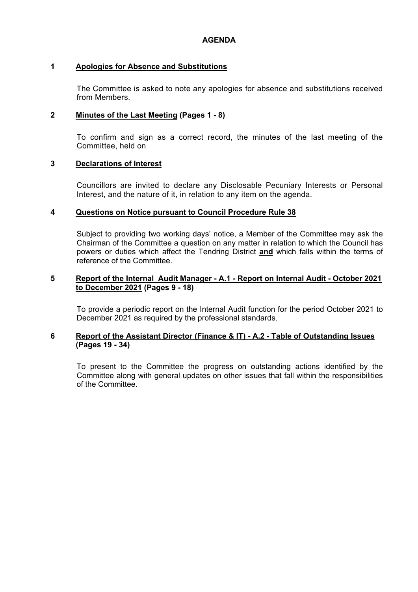### **1 Apologies for Absence and Substitutions**

The Committee is asked to note any apologies for absence and substitutions received from Members.

# **2 Minutes of the Last Meeting (Pages 1 - 8)**

To confirm and sign as a correct record, the minutes of the last meeting of the Committee, held on

# **3 Declarations of Interest**

Councillors are invited to declare any Disclosable Pecuniary Interests or Personal Interest, and the nature of it, in relation to any item on the agenda.

# **4 Questions on Notice pursuant to Council Procedure Rule 38**

Subject to providing two working days' notice, a Member of the Committee may ask the Chairman of the Committee a question on any matter in relation to which the Council has powers or duties which affect the Tendring District **and** which falls within the terms of reference of the Committee.

#### **5 Report of the Internal Audit Manager - A.1 - Report on Internal Audit - October 2021 to December 2021 (Pages 9 - 18)**

To provide a periodic report on the Internal Audit function for the period October 2021 to December 2021 as required by the professional standards.

# **6 Report of the Assistant Director (Finance & IT) - A.2 - Table of Outstanding Issues (Pages 19 - 34)**

To present to the Committee the progress on outstanding actions identified by the Committee along with general updates on other issues that fall within the responsibilities of the Committee.